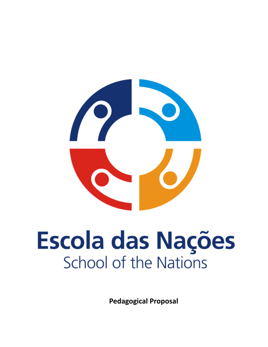# Escola das Nações **School of the Nations**

**Pedagogical Proposal**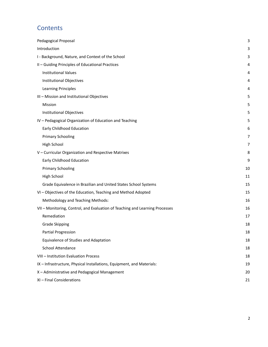# **Contents**

| Pedagogical Proposal                                                         | 3  |
|------------------------------------------------------------------------------|----|
| Introduction                                                                 | 3  |
| I - Background, Nature, and Context of the School                            | 3  |
| II - Guiding Principles of Educational Practices                             | 4  |
| <b>Institutional Values</b>                                                  | 4  |
| Institutional Objectives                                                     | 4  |
| <b>Learning Principles</b>                                                   | 4  |
| III - Mission and Institutional Objectives                                   | 5  |
| Mission                                                                      | 5  |
| Institutional Objectives                                                     | 5  |
| IV - Pedagogical Organization of Education and Teaching                      | 5  |
| Early Childhood Education                                                    | 6  |
| <b>Primary Schooling</b>                                                     | 7  |
| <b>High School</b>                                                           | 7  |
| V - Curricular Organization and Respective Matrixes                          | 8  |
| Early Childhood Education                                                    | 9  |
| <b>Primary Schooling</b>                                                     | 10 |
| <b>High School</b>                                                           | 11 |
| Grade Equivalence in Brazilian and United States School Systems              | 15 |
| VI - Objectives of the Education, Teaching and Method Adopted                | 15 |
| Methodology and Teaching Methods:                                            | 16 |
| VII - Monitoring, Control, and Evaluation of Teaching and Learning Processes | 16 |
| Remediation                                                                  | 17 |
| <b>Grade Skipping</b>                                                        | 18 |
| Partial Progression                                                          | 18 |
| Equivalence of Studies and Adaptation                                        | 18 |
| School Attendance                                                            | 18 |
| VIII - Institution Evaluation Process                                        | 18 |
| IX - Infrastructure, Physical Installations, Equipment, and Materials:       | 19 |
| X - Administrative and Pedagogical Management                                | 20 |
| XI - Final Considerations                                                    | 21 |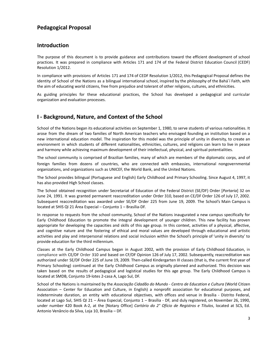#### <span id="page-2-0"></span>**Pedagogical Proposal**

#### <span id="page-2-1"></span>**Introduction**

The purpose of this document is to provide guidance and contributions toward the efficient development of school practices. It was prepared in compliance with Articles 171 and 174 of the Federal District Education Council (CEDF) Resolution 1/2012.

In compliance with provisions of Articles 171 and 174 of CEDF Resolution 1/2012, this Pedagogical Proposal defines the identity of School of the Nations as a bilingual international school, inspired by the philosophy of the Bahá´í Faith, with the aim of educating world citizens, free from prejudice and tolerant of other religions, cultures, and ethnicities.

As guiding principles for these educational practices, the School has developed a pedagogical and curricular organization and evaluation processes.

#### <span id="page-2-2"></span>**I - Background, Nature, and Context of the School**

School of the Nations began its educational activities on September 1, 1980, to serve students of various nationalities. It arose from the dream of two families of North American teachers who envisaged founding an institution based on a new international education model. The inspiration for this model was the principle of unity in diversity, to create an environment in which students of different nationalities, ethnicities, cultures, and religions can learn to live in peace and harmony while achieving maximum development of their intellectual, physical, and spiritual potentialities.

The school community is comprised of Brazilian families, many of which are members of the diplomatic corps, and of foreign families from dozens of countries, who are connected with embassies, international nongovernmental organizations, and organizations such as UNICEF, the World Bank, and the United Nations.

The School provides bilingual (Portuguese and English) Early Childhood and Primary Schooling. Since August 4, 1997, it has also provided High School classes.

The School obtained recognition under Secretariat of Education of the Federal District (SE/DF) Order [*Portaria*] 32 on June 24, 1991. It was granted permanent reaccreditation under Order 310, based on CE/DF Order 126 of July 17, 2002. Subsequent reaccreditation was awarded under SE/DF Order 225 from June 19, 2009. The School's Main Campus is located at SHIS QI 21 Área Especial – Conjunto 1 – Brasília-DF.

In response to requests from the school community, School of the Nations inaugurated a new campus specifically for Early Childhood Education to promote the integral development of younger children. This new facility has proven appropriate for developing the capacities and skills of this age group. In this context, activities of a physical, affective, and cognitive nature and the fostering of ethical and moral values are developed through educational and artistic activities and play and interpersonal relations and social inclusion within the School's principle of 'unity in diversity' to provide education for the third millennium.

Classes at the Early Childhood Campus began in August 2002, with the provision of Early Childhood Education, in compliance with CE/DF Order 310 and based on CF/DF Opinion 126 of July 17, 2002. Subsequently, reaccreditation was authorized under SE/DF Order 225 of June 19, 2009. Then-called Kindergarten III classes (that is, the current first year of Primary Schooling) continued at the Early Childhood Campus as originally planned and authorized. This decision was taken based on the results of pedagogical and logistical studies for this age group. The Early Childhood Campus is located at SMDB, Conjunto 19-lotes 2-casa A, Lago Sul, DF.

School of the Nations is maintained by the *Associação Cidadão do Mundo - Centro de Education e Cultura* (World Citizen Association – Center for Education and Culture, in English) a nonprofit association for educational purposes, and indeterminate duration, an entity with educational objectives, with offices and venue in Brasília - Distrito Federal, located at Lago Sul, SHIS QI 21 – Área Especial, Conjunto 1 – Brasília - DF, and duly registered, on November 26, 1990, under number 420 Book A-2, at the [Notary Office] *Cartório do 2° Ofício de Registros e Títulos*, located at SCS, Ed. Antonio Venâncio da Silva, Loja 10, Brasília – DF.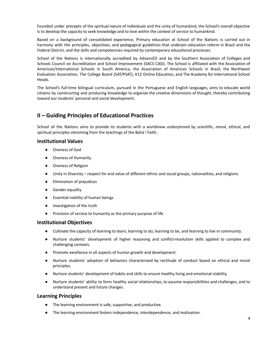Founded under precepts of the spiritual nature of individuals and the unity of humankind, the School's overall objective is to develop the capacity to seek knowledge and to love within the context of service to humankind.

Based on a background of consolidated experience, Primary education at School of the Nations is carried out in harmony with the principles, objectives, and pedagogical guidelines that underpin education reform in Brazil and the Federal District, and the skills and competencies required by contemporary educational processes.

School of the Nations is internationally accredited by AdvancED and by the Southern Association of Colleges and Schools Council on Accreditation and School Improvement (SACS CASI). The School is affiliated with the Association of American/International Schools in South America, the Association of American Schools in Brazil, the Northwest Evaluation Association, The College Board (SAT/PSAT), K12 Online Education, and The Academy for International School Heads.

The School's full-time bilingual curriculum, pursued in the Portuguese and English languages, aims to educate world citizens by constructing and producing knowledge to organize the creative dimensions of thought, thereby contributing toward our students' personal and social development.

#### <span id="page-3-0"></span>**II – Guiding Principles of Educational Practices**

School of the Nations aims to provide its students with a worldview underpinned by scientific, moral, ethical, and spiritual principles stemming from the teachings of the Bahá´í Faith**.**

#### <span id="page-3-1"></span>**Institutional Values**

- Oneness of God
- Oneness of Humanity
- Oneness of Religion
- Unity in Diversity respect for and value of different ethnic and social groups, nationalities, and religions
- Elimination of prejudices
- **Gender equality**
- Essential nobility of human beings
- Investigation of the truth
- Provision of service to humanity as the primary purpose of life

#### <span id="page-3-2"></span>**Institutional Objectives**

- Cultivate the capacity of learning to learn, learning to do, learning to be, and learning to live in community.
- Nurture students' development of higher reasoning and conflict-resolution skills applied to complex and challenging contexts.
- Promote excellence in all aspects of human growth and development.
- Nurture students' adoption of behaviors characterized by rectitude of conduct based on ethical and moral principles.
- Nurture students' development of habits and skills to ensure healthy living and emotional stability.
- Nurture students' ability to form healthy social relationships, to assume responsibilities and challenges, and to understand present and future changes.

#### <span id="page-3-3"></span>**Learning Principles**

- The learning environment is safe, supportive, and productive.
- The learning environment fosters independence, interdependence, and motivation.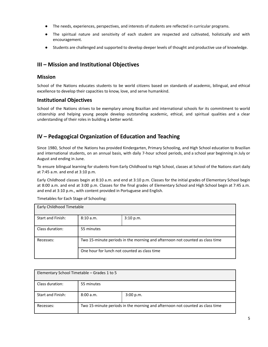- The needs, experiences, perspectives, and interests of students are reflected in curricular programs.
- The spiritual nature and sensitivity of each student are respected and cultivated, holistically and with encouragement.
- Students are challenged and supported to develop deeper levels of thought and productive use of knowledge.

### <span id="page-4-0"></span>**III – Mission and Institutional Objectives**

#### <span id="page-4-1"></span>**Mission**

School of the Nations educates students to be world citizens based on standards of academic, bilingual, and ethical excellence to develop their capacities to know, love, and serve humankind.

#### <span id="page-4-2"></span>**Institutional Objectives**

School of the Nations strives to be exemplary among Brazilian and international schools for its commitment to world citizenship and helping young people develop outstanding academic, ethical, and spiritual qualities and a clear understanding of their roles in building a better world.

#### <span id="page-4-3"></span>**IV – Pedagogical Organization of Education and Teaching**

Since 1980, School of the Nations has provided Kindergarten, Primary Schooling, and High School education to Brazilian and international students, on an annual basis, with daily 7-hour school periods, and a school year beginning in July or August and ending in June.

To ensure bilingual learning for students from Early Childhood to High School, classes at School of the Nations start daily at 7:45 a.m. and end at 3:10 p.m.

Early Childhood classes begin at 8:10 a.m. and end at 3:10 p.m. Classes for the initial grades of Elementary School begin at 8:00 a.m. and end at 3:00 p.m. Classes for the final grades of Elementary School and High School begin at 7:45 a.m. and end at 3:10 p.m., with content provided in Portuguese and English.

Timetables for Each Stage of Schooling:

| Early Childhood Timetable |                                                                              |           |  |
|---------------------------|------------------------------------------------------------------------------|-----------|--|
| Start and Finish:         | 8:10a.m.                                                                     | 3:10 p.m. |  |
| Class duration:           | 55 minutes                                                                   |           |  |
| Recesses:                 | Two 15-minute periods in the morning and afternoon not counted as class time |           |  |
|                           | One hour for lunch not counted as class time                                 |           |  |

| Elementary School Timetable – Grades 1 to 5 |                                                                              |           |  |
|---------------------------------------------|------------------------------------------------------------------------------|-----------|--|
| Class duration:                             | 55 minutes                                                                   |           |  |
| Start and Finish:                           | 8:00 a.m.                                                                    | 3:00 p.m. |  |
| Recesses:                                   | Two 15-minute periods in the morning and afternoon not counted as class time |           |  |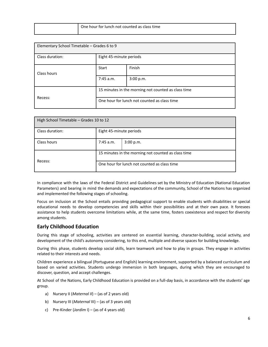| One hour for lunch not counted as class time |
|----------------------------------------------|

| Elementary School Timetable - Grades 6 to 9 |                                                     |           |  |
|---------------------------------------------|-----------------------------------------------------|-----------|--|
| Class duration:                             | Eight 45-minute periods                             |           |  |
| Class hours                                 | Start                                               | Finish    |  |
|                                             | $7:45$ a.m.                                         | 3:00 p.m. |  |
|                                             | 15 minutes in the morning not counted as class time |           |  |
| Recess:                                     | One hour for lunch not counted as class time        |           |  |

| High School Timetable – Grades 10 to 12 |                                                     |  |  |
|-----------------------------------------|-----------------------------------------------------|--|--|
| Class duration:                         | Eight 45-minute periods                             |  |  |
| Class hours                             | $7:45$ a.m.<br>3:00 p.m.                            |  |  |
| Recess:                                 | 15 minutes in the morning not counted as class time |  |  |
|                                         | One hour for lunch not counted as class time        |  |  |

In compliance with the laws of the Federal District and Guidelines set by the Ministry of Education (National Education Parameters) and bearing in mind the demands and expectations of the community, School of the Nations has organized and implemented the following stages of schooling.

Focus on inclusion at the School entails providing pedagogical support to enable students with disabilities or special educational needs to develop competencies and skills within their possibilities and at their own pace. It foresees assistance to help students overcome limitations while, at the same time, fosters coexistence and respect for diversity among students.

#### <span id="page-5-0"></span>**Early Childhood Education**

During this stage of schooling, activities are centered on essential learning, character-building, social activity, and development of the child's autonomy considering, to this end, multiple and diverse spaces for building knowledge.

During this phase, students develop social skills, learn teamwork and how to play in groups. They engage in activities related to their interests and needs.

Children experience a bilingual (Portuguese and English) learning environment, supported by a balanced curriculum and based on varied activities. Students undergo immersion in both languages, during which they are encouraged to discover, question, and accept challenges.

At School of the Nations, Early Childhood Education is provided on a full-day basis, in accordance with the students' age group.

- a) Nursery II (*Maternal II*) (as of 2 years old)
- b) Nursery III (*Maternal* III) (as of 3 years old)
- c) Pre-Kinder (*Jardim* I) (as of 4 years old)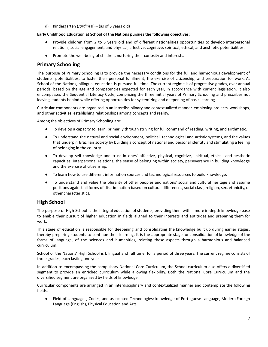d) Kindergarten (*Jardim* II) – (as of 5 years old)

#### **Early Childhood Education at School of the Nations pursues the following objectives:**

- Provide children from 2 to 5 years old and of different nationalities opportunities to develop interpersonal relations, social engagement, and physical, affective, cognitive, spiritual, ethical, and aesthetic potentialities.
- Promote the well-being of children, nurturing their curiosity and interests.

#### <span id="page-6-0"></span>**Primary Schooling**

The purpose of Primary Schooling is to provide the necessary conditions for the full and harmonious development of students' potentialities, to foster their personal fulfillment, the exercise of citizenship, and preparation for work. At School of the Nations, bilingual education is pursued full time. The current regime is of progressive grades, over annual periods, based on the age and competencies expected for each year, in accordance with current legislation. It also encompasses the Sequential Literacy Cycle, comprising the three initial years of Primary Schooling and prescribes not leaving students behind while offering opportunities for systemizing and deepening of basic learning.

Curricular components are organized in an interdisciplinary and contextualized manner, employing projects, workshops, and other activities, establishing relationships among concepts and reality.

Among the objectives of Primary Schooling are:

- To develop a capacity to learn, primarily through striving for full command of reading, writing, and arithmetic.
- To understand the natural and social environment, political, technological and artistic systems, and the values that underpin Brazilian society by building a concept of national and personal identity and stimulating a feeling of belonging in the country.
- To develop self-knowledge and trust in ones' affective, physical, cognitive, spiritual, ethical, and aesthetic capacities, interpersonal relations, the sense of belonging within society, perseverance in building knowledge and the exercise of citizenship.
- To learn how to use different information sources and technological resources to build knowledge.
- To understand and value the plurality of other peoples and nations' social and cultural heritage and assume positions against all forms of discrimination based on cultural differences, social class, religion, sex, ethnicity, or other characteristics.

#### <span id="page-6-1"></span>**High School**

The purpose of High School is the integral education of students, providing them with a more in-depth knowledge base to enable their pursuit of higher education in fields aligned to their interests and aptitudes and preparing them for work.

This stage of education is responsible for deepening and consolidating the knowledge built up during earlier stages, thereby preparing students to continue their learning. It is the appropriate stage for consolidation of knowledge of the forms of language, of the sciences and humanities, relating these aspects through a harmonious and balanced curriculum.

School of the Nations' High School is bilingual and full time, for a period of three years. The current regime consists of three grades, each lasting one year.

In addition to encompassing the compulsory National Core Curriculum, the School curriculum also offers a diversified segment to provide an enriched curriculum while allowing flexibility. Both the National Core Curriculum and the diversified segment are organized by fields of knowledge.

Curricular components are arranged in an interdisciplinary and contextualized manner and contemplate the following fields.

● Field of Languages, Codes, and associated Technologies: knowledge of Portuguese Language, Modern Foreign Language (English), Physical Education and Arts.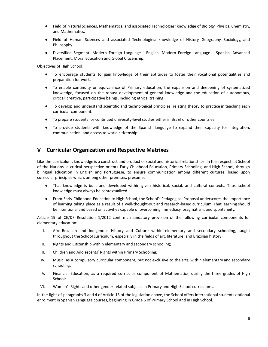- Field of Natural Sciences, Mathematics, and associated Technologies*:* knowledge of Biology, Physics, Chemistry, and Mathematics.
- Field of Human Sciences and associated Technologies: knowledge of History, Geography, Sociology, and Philosophy.
- Diversified Segment*:* Modern Foreign Language English, Modern Foreign Language Spanish, Advanced Placement, Moral Education and Global Citizenship.

Objectives of High School:

- To encourage students to gain knowledge of their aptitudes to foster their vocational potentialities and preparation for work.
- To enable continuity or equivalence of Primary education, the expansion and deepening of systematized knowledge, focused on the robust development of general knowledge and the education of autonomous, critical, creative, participative beings, including ethical training.
- To develop and understand scientific and technological principles, relating theory to practice in teaching each curricular component.
- To prepare students for continued university-level studies either in Brazil or other countries.
- To provide students with knowledge of the Spanish language to expand their capacity for integration, communication, and access to world citizenship.

#### <span id="page-7-0"></span>**V – Curricular Organization and Respective Matrixes**

Like the curriculum, knowledge is a construct and product of social and historical relationships. In this respect, at School of the Nations, a critical perspective orients Early Childhood Education, Primary Schooling, and High School, through bilingual education in English and Portuguese, to ensure communication among different cultures, based upon curricular principles which, among other premises, presume:

- That knowledge is built and developed within given historical, social, and cultural contexts. Thus, school knowledge must always be contextualized.
- From Early Childhood Education to High School, the School's Pedagogical Proposal underscores the importance of learning taking place as a result of a well-thought-out and research-based curriculum. That learning should be intentional and based on activities capable of overcoming immediacy, pragmatism, and spontaneity.

Article 19 of CE/DF Resolution 1/2012 confirms mandatory provision of the following curricular components for elementary education:

- I. Afro-Brazilian and Indigenous History and Culture within elementary and secondary schooling, taught throughout the School curriculum, especially in the fields of art, literature, and Brazilian history;
- II. Rights and Citizenship within elementary and secondary schooling;
- III. Children and Adolescents' Rights within Primary Schooling;
- IV. Music, as a compulsory curricular component, but not exclusive to the arts, within elementary and secondary schooling;
- V. Financial Education, as a required curricular component of Mathematics, during the three grades of High School;
- VI. Women's Rights and other gender-related subjects in Primary and High School curriculums.

In the light of paragraphs 3 and 4 of Article 13 of the legislation above, the School offers international students optional enrolment in Spanish Language courses, beginning in Grade 6 of Primary School and in High School.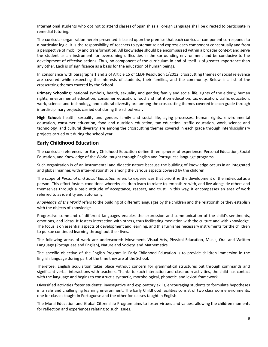International students who opt not to attend classes of Spanish as a Foreign Language shall be directed to participate in remedial tutoring.

The curricular organization herein presented is based upon the premise that each curricular component corresponds to a particular logic. It is the responsibility of teachers to systematize and express each component conceptually and from a perspective of mobility and transformation. All knowledge should be encompassed within a broader context and serve the student as an instrument for overcoming difficulties in the surrounding environment and be conducive to the development of effective actions. Thus, no component of the curriculum in and of itself is of greater importance than any other. Each is of significance as a basis for the education of human beings.

In consonance with paragraphs 1 and 2 of Article 15 of CEDF Resolution 1/2012, crosscutting themes of social relevance are covered while respecting the interests of students, their families, and the community. Below is a list of the crosscutting themes covered by the School.

**Primary Schooling**: national symbols, health, sexuality and gender, family and social life, rights of the elderly, human rights, environmental education, consumer education, food and nutrition education, tax education, traffic education, work, science and technology, and cultural diversity are among the crosscutting themes covered in each grade through interdisciplinary projects carried out during the school year**.**

**High School**: health, sexuality and gender, family and social life, aging processes, human rights, environmental education, consumer education, food and nutrition education, tax education, traffic education, work, science and technology, and cultural diversity are among the crosscutting themes covered in each grade through interdisciplinary projects carried out during the school year**.**

#### <span id="page-8-0"></span>**Early Childhood Education**

The curricular references for Early Childhood Education define three spheres of experience: Personal Education, Social Education, and Knowledge of the World, taught through English and Portuguese language programs.

Such organization is of an instrumental and didactic nature because the building of knowledge occurs in an integrated and global manner, with inter-relationships among the various aspects covered by the children.

The scope of *Personal and Social Education* refers to experiences that prioritize the development of the individual as a person. This effort fosters conditions whereby children learn to relate to, empathize with, and live alongside others and themselves through a basic attitude of acceptance, respect, and trust. In this way, it encompasses an area of work referred to as identity and autonomy.

*Knowledge of the World* refers to the building of different languages by the children and the relationships they establish with the objects of knowledge.

Progressive command of different languages enables the expression and communication of the child's sentiments, emotions, and ideas. It fosters interaction with others, thus facilitating mediation with the culture and with knowledge. The focus is on essential aspects of development and learning, and this furnishes necessary instruments for the children to pursue continued learning throughout their lives.

The following areas of work are underscored: Movement, Visual Arts, Physical Education, Music, Oral and Written Language (Portuguese and English), Nature and Society, and Mathematics.

The specific objective of the English Program in Early Childhood Education is to provide children immersion in the English language during part of the time they are at the School.

Therefore, English acquisition takes place without concern for grammatical structures but through commands and significant verbal interactions with teachers. Thanks to such interaction and classroom activities, the child has contact with the language and begins to construct a syntactic, morphological, phonetic, and lexical framework.

**D**iversified activities foster students' investigative and exploratory skills, encouraging students to formulate hypotheses in a safe and challenging learning environment. The Early Childhood facilities consist of two classroom environments: one for classes taught in Portuguese and the other for classes taught in English.

The Moral Education and Global Citizenship Program aims to foster virtues and values, allowing the children moments for reflection and experiences relating to such issues.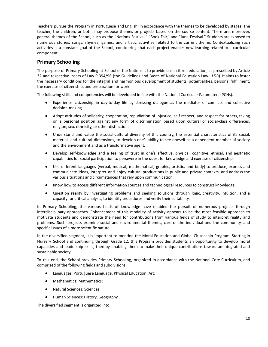Teachers pursue the Program in Portuguese and English, in accordance with the themes to be developed by stages. The teacher, the children, or both, may propose themes or projects based on the course content. There are, moreover, general themes of the School, such as the "Nations Festival," "Book Fair," and "June Festival." Students are exposed to numerous stories, songs, rhymes, games, and artistic activities related to the current theme. Contextualizing such activities is a constant goal of the School, considering that each project enables new learning related to a curricular component.

#### <span id="page-9-0"></span>**Primary Schooling**

The purpose of Primary Schooling at School of the Nations is to provide basic citizen education, as prescribed by Article 32 and respective insets of Law 9.394/96 (the Guidelines and Bases of National Education Law - *LDB*). It aims to foster the necessary conditions for the integral and harmonious development of students' potentialities, personal fulfillment, the exercise of citizenship, and preparation for work.

The following skills and competencies will be developed in line with the National Curricular Parameters (PCNs).

- Experience citizenship in day-to-day life by stressing dialogue as the mediator of conflicts and collective decision-making.
- Adopt attitudes of solidarity, cooperation, repudiation of injustice, self-respect, and respect for others, taking on a personal position against any form of discrimination based upon cultural or social-class differences, religion, sex, ethnicity, or other distinctions.
- Understand and value the social-cultural diversity of this country, the essential characteristics of its social, material, and cultural dimensions, to develop one's ability to see oneself as a dependent member of society and the environment and as a transformative agent.
- Develop self-knowledge and a feeling of trust in one's affective, physical, cognitive, ethical, and aesthetic capabilities for social participation to persevere in the quest for knowledge and exercise of citizenship.
- Use different languages (verbal, musical, mathematical, graphic, artistic, and body) to produce, express and communicate ideas, interpret and enjoy cultural productions in public and private contexts, and address the various situations and circumstances that rely upon communication.
- Know how to access different information sources and technological resources to construct knowledge.
- Question reality by investigating problems and seeking solutions through logic, creativity, intuition, and a capacity for critical analysis, to identify procedures and verify their suitability.

In Primary Schooling, the various fields of knowledge have enabled the pursuit of numerous projects through interdisciplinary approaches. Enhancement of this modality of activity appears to be the most feasible approach to motivate students and demonstrate the need for contributions from various fields of study to interpret reality and problems. Such projects examine social and environmental themes, care of the individual and the community, and specific issues of a more scientific nature.

In the diversified segment, it is important to mention the Moral Education and Global Citizenship Program. Starting in Nursery School and continuing through Grade 12, this Program provides students an opportunity to develop moral capacities and leadership skills, thereby enabling them to make their unique contributions toward an integrated and sustainable society.

To this end, the School provides Primary Schooling, organized in accordance with the National Core Curriculum, and comprised of the following fields and subdivisions:

- Languages: Portuguese Language, Physical Education, Art;
- Mathematics: Mathematics;
- Natural Sciences: Sciences;
- Human Sciences: History, Geography.

The diversified segment is organized into: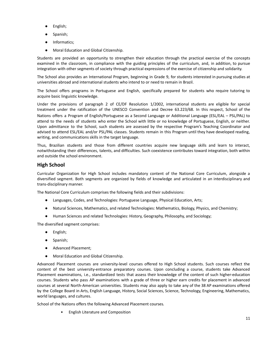- English;
- Spanish;
- Informatics;
- Moral Education and Global Citizenship.

Students are provided an opportunity to strengthen their education through the practical exercise of the concepts examined in the classroom, in compliance with the guiding principles of the curriculum, and, in addition, to pursue integration with other segments of society through practical expressions of the exercise of citizenship and solidarity.

The School also provides an International Program, beginning in Grade 9, for students interested in pursuing studies at universities abroad and international students who intend to or need to remain in Brazil.

The School offers programs in Portuguese and English, specifically prepared for students who require tutoring to acquire basic linguistic knowledge.

Under the provisions of paragraph 2 of CE/DF Resolution 1/2002, international students are eligible for special treatment under the ratification of the UNESCO Convention and Decree 63.223/68. In this respect, School of the Nations offers a Program of English/Portuguese as a Second Language or Additional Language (ESL/EAL – PSL/PAL) to attend to the needs of students who enter the School with little or no knowledge of Portuguese, English, or neither. Upon admittance to the School, such students are assessed by the respective Program's Teaching Coordinator and advised to attend ESL/EAL and/or PSL/PAL classes. Students remain in this Program until they have developed reading, writing, and communications skills in the target language.

Thus, Brazilian students and those from different countries acquire new language skills and learn to interact, notwithstanding their differences, talents, and difficulties. Such coexistence contributes toward integration, both within and outside the school environment.

#### <span id="page-10-0"></span>**High School**

Curricular Organization for High School includes mandatory content of the National Core Curriculum, alongside a diversified segment. Both segments are organized by fields of knowledge and articulated in an interdisciplinary and trans-disciplinary manner.

The National Core Curriculum comprises the following fields and their subdivisions:

- Languages, Codes, and Technologies: Portuguese Language, Physical Education, Arts;
- Natural Sciences, Mathematics, and related Technologies: Mathematics, Biology, Physics, and Chemistry;
- Human Sciences and related Technologies: History, Geography, Philosophy, and Sociology;

The diversified segment comprises:

- English;
- Spanish;
- Advanced Placement;
- Moral Education and Global Citizenship.

Advanced Placement courses are university-level courses offered to High School students. Such courses reflect the content of the best university-entrance preparatory courses. Upon concluding a course, students take Advanced Placement examinations, i.e., standardized tests that assess their knowledge of the content of such higher-education courses. Students who pass AP examinations with a grade of three or higher earn credits for placement in advanced courses at several North-American universities. Students may also apply to take any of the 38 AP examinations offered by the College Board in Arts, English Language, History, Social Sciences, Science, Technology, Engineering, Mathematics, world languages, and cultures.

School of the Nations offers the following Advanced Placement courses*.*

• English Literature and Composition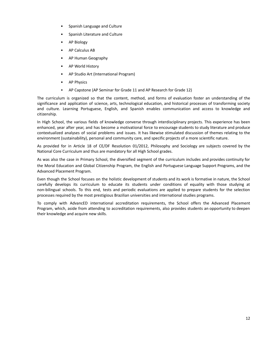- Spanish Language and Culture
- Spanish Literature and Culture
- AP Biology
- AP Calculus AB
- AP Human Geography
- AP World History
- AP Studio Art (International Program)
- **AP Physics**
- AP Capstone (AP Seminar for Grade 11 and AP Research for Grade 12)

The curriculum is organized so that the content, method, and forms of evaluation foster an understanding of the significance and application of science, arts, technological education, and historical processes of transforming society and culture. Learning Portuguese, English, and Spanish enables communication and access to knowledge and citizenship.

In High School, the various fields of knowledge converse through interdisciplinary projects. This experience has been enhanced, year after year, and has become a motivational force to encourage students to study literature and produce contextualized analyses of social problems and issues. It has likewise stimulated discussion of themes relating to the environment (sustainability), personal and community care, and specific projects of a more scientific nature.

As provided for in Article 18 of CE/DF Resolution 01/2012, Philosophy and Sociology are subjects covered by the National Core Curriculum and thus are mandatory for all High School grades.

As was also the case in Primary School, the diversified segment of the curriculum includes and provides continuity for the Moral Education and Global Citizenship Program, the English and Portuguese Language Support Programs, and the Advanced Placement Program.

Even though the School focuses on the holistic development of students and its work is formative in nature, the School carefully develops its curriculum to educate its students under conditions of equality with those studying at non-bilingual schools. To this end, tests and periodic evaluations are applied to prepare students for the selection processes required by the most prestigious Brazilian universities and international studies programs.

To comply with AdvancED international accreditation requirements, the School offers the Advanced Placement Program, which, aside from attending to accreditation requirements, also provides students an opportunity to deepen their knowledge and acquire new skills.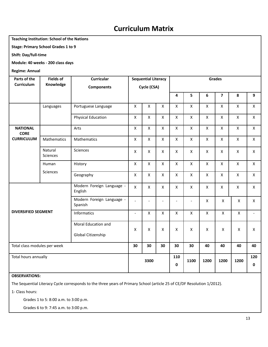# **Curriculum Matrix**

#### **Teaching Institution: School of the Nations**

**Stage: Primary School Grades 1 to 9**

**Shift: Day/full-time**

**Module: 40 weeks - 200 class days**

**Regime: Annual**

| Parts of the                   | <b>Fields of</b>           | Curricular                           |                          | <b>Sequential Literacy</b> |                          |                          |                          |                    | <b>Grades</b>           |                    |                |
|--------------------------------|----------------------------|--------------------------------------|--------------------------|----------------------------|--------------------------|--------------------------|--------------------------|--------------------|-------------------------|--------------------|----------------|
| Curriculum                     | Knowledge                  | <b>Components</b>                    |                          | Cycle (CSA)                |                          |                          |                          |                    |                         |                    |                |
|                                |                            |                                      |                          |                            |                          | 4                        | 5                        | 6                  | $\overline{\mathbf{z}}$ | 8                  | 9              |
|                                | Languages                  | Portuguese Language                  | $\pmb{\times}$           | $\pmb{\mathsf{X}}$         | $\mathsf X$              | $\mathsf X$              | $\pmb{\times}$           | $\pmb{\mathsf{X}}$ | $\mathsf X$             | $\mathsf X$        | $\mathsf X$    |
|                                |                            | <b>Physical Education</b>            | X                        | X                          | $\pmb{\times}$           | $\mathsf{x}$             | $\pmb{\times}$           | $\mathsf{x}$       | $\pmb{\times}$          | $\pmb{\mathsf{X}}$ | $\pmb{\times}$ |
| <b>NATIONAL</b><br><b>CORE</b> |                            | Arts                                 | $\pmb{\mathsf{X}}$       | X                          | $\mathsf{X}$             | $\mathsf{X}$             | $\mathsf{x}$             | $\mathsf{X}$       | $\mathsf{X}$            | $\pmb{\times}$     | $\mathsf{X}$   |
| <b>CURRICULUM</b>              | Mathematics                | Mathematics                          | X                        | $\mathsf X$                | $\pmb{\times}$           | $\mathsf X$              | $\pmb{\mathsf{X}}$       | $\mathsf X$        | $\pmb{\mathsf{X}}$      | $\pmb{\mathsf{X}}$ | $\mathsf X$    |
|                                | Natural<br><b>Sciences</b> | Sciences                             | X                        | $\mathsf{X}$               | $\mathsf{X}$             | $\mathsf{x}$             | $\mathsf{x}$             | $\mathsf{X}$       | $\mathsf{X}$            | $\pmb{\times}$     | $\mathsf{X}$   |
|                                | Human                      | History                              | $\mathsf{x}$             | $\mathsf{x}$               | $\pmb{\times}$           | $\mathsf{X}$             | $\pmb{\times}$           | $\mathsf{X}$       | $\mathsf{X}$            | $\pmb{\times}$     | $\mathsf{X}$   |
|                                | Sciences                   | Geography                            | $\pmb{\mathsf{X}}$       | $\pmb{\mathsf{X}}$         | $\pmb{\times}$           | $\mathsf X$              | $\pmb{\times}$           | $\pmb{\mathsf{X}}$ | $\mathsf{X}$            | $\pmb{\times}$     | $\mathsf X$    |
|                                |                            | Modern Foreign Language -<br>English | X                        | X                          | $\pmb{\times}$           | X                        | $\pmb{\times}$           | $\mathsf{x}$       | $\pmb{\mathsf{X}}$      | X                  | $\mathsf{X}$   |
|                                |                            | Modern Foreign Language -<br>Spanish | $\overline{a}$           | $\blacksquare$             | $\overline{\phantom{a}}$ | $\overline{\phantom{a}}$ | $\overline{\phantom{a}}$ | $\mathsf{x}$       | $\pmb{\mathsf{X}}$      | X                  | $\mathsf{X}$   |
| <b>DIVERSIFIED SEGMENT</b>     |                            | Informatics                          | $\overline{\phantom{a}}$ | $\pmb{\mathsf{X}}$         | $\pmb{\times}$           | X                        | X                        | $\mathsf{x}$       | X                       | X                  |                |
|                                |                            | Moral Education and                  |                          |                            |                          |                          |                          |                    |                         |                    |                |
|                                |                            | Global Citizenship                   | X                        | X                          | X                        | X                        | $\pmb{\mathsf{X}}$       | X                  | X                       | X                  | $\mathsf{X}$   |
| Total class modules per week   |                            |                                      | 30                       | 30                         | 30                       | 30                       | 30                       | 40                 | 40                      | 40                 | 40             |
| Total hours annually           |                            |                                      |                          | 3300                       |                          | 110<br>0                 | 1100                     | 1200               | 1200                    | 1200               | 120<br>0       |

**OBSERVATIONS:**

The Sequential Literacy Cycle corresponds to the three years of Primary School (article 25 of CE/DF Resolution 1/2012).

1- Class hours:

Grades 1 to 5: 8:00 a.m. to 3:00 p.m.

Grades 6 to 9: 7:45 a.m. to 3:00 p.m.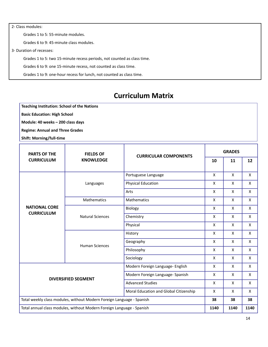2- Class modules: Grades 1 to 5: 55-minute modules. Grades 6 to 9: 45-minute class modules. 3- Duration of recesses: Grades 1 to 5: two 15-minute recess periods, not counted as class time. Grades 6 to 9: one 15-minute recess, not counted as class time. Grades 1 to 9: one-hour recess for lunch, not counted as class time.

# **Curriculum Matrix**

**Teaching Institution: School of the Nations**

**Basic Education: High School**

**Module: 40 weeks – 200 class days**

**Regime: Annual and Three Grades**

**Shift: Morning/full-time**

| <b>PARTS OF THE</b><br><b>FIELDS OF</b>                               |                            | <b>CURRICULAR COMPONENTS</b>           | <b>GRADES</b> |              |              |  |
|-----------------------------------------------------------------------|----------------------------|----------------------------------------|---------------|--------------|--------------|--|
| <b>CURRICULUM</b>                                                     | <b>KNOWLEDGE</b>           |                                        | 10            | 11           | 12           |  |
|                                                                       |                            | Portuguese Language                    | X             | X            | X            |  |
|                                                                       | Languages                  | <b>Physical Education</b>              | X             | X            | X            |  |
|                                                                       |                            | Arts                                   | X             | X            | X            |  |
|                                                                       | Mathematics                | Mathematics                            | $\mathsf{X}$  | $\mathsf{X}$ | $\mathsf{x}$ |  |
| <b>NATIONAL CORE</b>                                                  |                            | Biology                                | X             | X            | X            |  |
| <b>CURRICULUM</b>                                                     | <b>Natural Sciences</b>    | Chemistry                              | $\mathsf{X}$  | $\mathsf{x}$ | X            |  |
|                                                                       |                            | Physical                               | $\mathsf{X}$  | $\mathsf{X}$ | X            |  |
|                                                                       | <b>Human Sciences</b>      | History                                | X             | X            | X            |  |
|                                                                       |                            | Geography                              | X             | X            | X            |  |
|                                                                       |                            | Philosophy                             | X             | $\mathsf{X}$ | X            |  |
|                                                                       |                            | Sociology                              | $\mathsf{X}$  | $\mathsf{X}$ | X            |  |
|                                                                       |                            | Modern Foreign Language- English       | X             | X            | X            |  |
|                                                                       | <b>DIVERSIFIED SEGMENT</b> | Modern Foreign Language- Spanish       | X             | $\mathsf{x}$ | X            |  |
|                                                                       |                            | <b>Advanced Studies</b>                | $\mathsf{X}$  | X            | X            |  |
|                                                                       |                            | Moral Education and Global Citizenship | X             | X            | X            |  |
| Total weekly class modules, without Modern Foreign Language - Spanish |                            |                                        | 38            | 38           | 38           |  |
| Total annual class modules, without Modern Foreign Language - Spanish |                            |                                        | 1140          | 1140         | 1140         |  |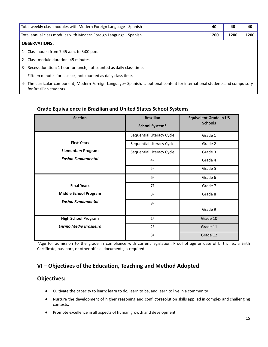| Total weekly class modules with Modern Foreign Language - Spanish                                                                                       | 40 | 40   | 40   |
|---------------------------------------------------------------------------------------------------------------------------------------------------------|----|------|------|
| Total annual class modules with Modern Foreign Language - Spanish                                                                                       |    | 1200 | 1200 |
| <b>OBSERVATIONS:</b>                                                                                                                                    |    |      |      |
| 1- Class hours: from 7:45 a.m. to 3:00 p.m.                                                                                                             |    |      |      |
| 2- Class-module duration: 45 minutes                                                                                                                    |    |      |      |
| 3- Recess duration: 1 hour for lunch, not counted as daily class time.                                                                                  |    |      |      |
| Fifteen minutes for a snack, not counted as daily class time.                                                                                           |    |      |      |
| 4- The curricular component, Modern Foreign Language- Spanish, is optional content for international students and compulsory<br>for Brazilian students. |    |      |      |

# <span id="page-14-0"></span>**Grade Equivalence in Brazilian and United States School Systems**

| <b>Section</b>                 | <b>Brazilian</b><br>School System* | <b>Equivalent Grade in US</b><br><b>Schools</b> |
|--------------------------------|------------------------------------|-------------------------------------------------|
|                                | Sequential Literacy Cycle          | Grade 1                                         |
| <b>First Years</b>             | Sequential Literacy Cycle          | Grade 2                                         |
| <b>Elementary Program</b>      | Sequential Literacy Cycle          | Grade 3                                         |
| <b>Ensino Fundamental</b>      | 4º                                 | Grade 4                                         |
|                                | 5º                                 | Grade 5                                         |
|                                | 6 <sup>°</sup>                     | Grade 6                                         |
| <b>Final Years</b>             | 7º                                 | Grade 7                                         |
| <b>Middle School Program</b>   | 8º                                 | Grade 8                                         |
| <b>Ensino Fundamental</b>      | 9º                                 | Grade 9                                         |
| <b>High School Program</b>     | 1 <sup>a</sup>                     | Grade 10                                        |
| <b>Ensino Médio Brasileiro</b> | 2 <sup>a</sup>                     | Grade 11                                        |
|                                | 3ª                                 | Grade 12                                        |

\*Age for admission to the grade in compliance with current legislation. Proof of age or date of birth, i.e., a Birth Certificate, passport, or other official documents, is required.

# <span id="page-14-1"></span>**VI – Objectives of the Education, Teaching and Method Adopted**

#### **Objectives:**

- Cultivate the capacity to learn: learn to do, learn to be, and learn to live in a community.
- Nurture the development of higher reasoning and conflict-resolution skills applied in complex and challenging contexts.
- Promote excellence in all aspects of human growth and development.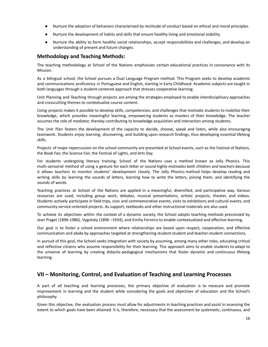- Nurture the adoption of behaviors characterized by rectitude of conduct based on ethical and moral principles.
- Nurture the development of habits and skills that ensure healthy living and emotional stability.
- Nurture the ability to form healthy social relationships, accept responsibilities and challenges, and develop an understanding of present and future changes.

#### <span id="page-15-0"></span>**Methodology and Teaching Methods:**

The teaching methodology at School of the Nations emphasizes certain educational practices in consonance with its Mission.

As a bilingual school, the School pursues a Dual Language Program method*.* This Program seeks to develop academic and communications proficiency in Portuguese and English, starting in Early Childhood. Academic subjects are taught in both languages through a student-centered approach that stresses cooperative learning.

Unit Planning and Teaching through projects are among the strategies employed to enable interdisciplinary approaches and crosscutting themes to contextualize course content.

Using projects makes it possible to develop skills, competencies, and challenges that motivate students to mobilize their knowledge, which provides meaningful learning, empowering students as masters of their knowledge. The teacher assumes the role of mediator, thereby contributing to knowledge acquisition and interaction among students.

The Unit Plan fosters the development of the capacity to decide, choose, speak and listen, while also encouraging teamwork. Students enjoy learning, discovering, and building upon research findings, thus developing essential lifelong skills.

Projects of major repercussion on the school community are presented at School events, such as the Festival of Nations, the Book Fair, the Science Fair, the Festival of Lights, and Arts Day.

For students undergoing literacy training, School of the Nations uses a method known as Jolly Phonics. This multi-sensorial method of using a gesture for each letter or sound highly motivates both children and teachers because it allows teachers to monitor students' development closely. The Jolly Phonics method helps develop reading and writing skills by learning the sounds of letters, learning how to write the letters, joining them, and identifying the sounds of words.

Teaching practices at School of the Nations are applied in a meaningful, diversified, and participative way. Various resources are used, including group work, debates, musical presentations, artistic projects, theater, and videos. Students actively participate in field trips, civic and commemorative events, visits to exhibitions and cultural events, and community-service-oriented projects. As support, textbooks and other instructional materials are also used.

To achieve its objectives within the context of a dynamic society, the School adopts teaching methods preconized by Jean Piaget (1896-1980), Vygotsky (1896 –1934), and Emília Ferreiro to enable contextualized and effective learning.

Our goal is to foster a school environment where relationships are based upon respect, cooperation, and effective communication and abide by approaches targeted at strengthening student-student and teacher-student connections.

In pursuit of this goal, the School seeks integration with society by assuming, among many other roles, educating critical and reflective citizens who assume responsibility for their learning. This approach aims to enable students to adapt to the universe of learning by creating didactic-pedagogical mechanisms that foster dynamic and continuous lifelong learning.

#### <span id="page-15-1"></span>**VII – Monitoring, Control, and Evaluation of Teaching and Learning Processes**

A part of all teaching and learning processes, the primary objective of evaluation is to measure and promote improvement in learning and the student while considering the goals and objectives of education and the School's philosophy.

Given this objective, the evaluation process must allow for adjustments in teaching practices and assist in assessing the extent to which goals have been attained. It is, therefore, necessary that the assessment be *systematic*, *continuous,* and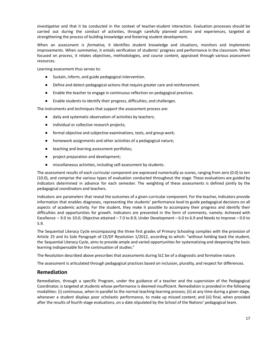*investigative* and that it be conducted in the context of teacher-student interaction. Evaluation processes should be carried out during the conduct of activities, through carefully planned actions and experiences, targeted at strengthening the process of building knowledge and fostering student development.

When an assessment is *formative,* it identifies student knowledge and situations, monitors and implements improvements. When *summative*, it entails verification of students' progress and performance in the classroom. When focused on *process*, it relates objectives, methodologies, and course content, appraised through various assessment resources.

Learning assessment thus serves to:

- Sustain, inform, and guide pedagogical intervention.
- Define and detect pedagogical actions that require greater care and reinforcement.
- Enable the teacher to engage in continuous reflection on pedagogical practices.
- Enable students to identify their progress, difficulties, and challenges.

The instruments and techniques that support the assessment process are:

- daily and systematic observation of activities by teachers;
- individual or collective research projects;
- formal objective and subjective examinations, tests, and group work;
- homework assignments and other activities of a pedagogical nature;
- teaching and learning assessment portfolios;
- project preparation and development;
- miscellaneous activities, including self-assessment by students.

The assessment results of each curricular component are expressed numerically as scores, ranging from zero (0.0) to ten (10.0), and comprise the various types of evaluation conducted throughout the stage. These evaluations are guided by indicators determined in advance for each semester. The weighting of these assessments is defined jointly by the pedagogical coordinators and teachers.

Indicators are parameters that reveal the outcomes of a given curricular component. For the teacher, indicators provide information that enables diagnoses, representing the students' performance level to guide pedagogical decisions on all aspects of academic activity. For the student, they make it possible to accompany their progress and identify their difficulties and opportunities for growth. Indicators are presented in the form of comments, namely: Achieved with Excellence – 9.0 to 10.0; Objective attained – 7.0 to 8.9; Under Development – 6.0 to 6.9 and Needs to Improve – 0.0 to 5.9.

The Sequential Literacy Cycle encompassing the three first grades of Primary Schooling complies with the provision of Article 25 and its Sole Paragraph of CE/DF Resolution 1/2012, according to which: "without holding back the student, the Sequential Literacy Cycle, aims to provide ample and varied opportunities for systematizing and deepening the basic learning indispensable for the continuation of studies."

The Resolution described above prescribes that assessments during SLC be of a diagnostic and formative nature.

The assessment is articulated through pedagogical practices based on inclusion, plurality, and respect for differences.

#### <span id="page-16-0"></span>**Remediation**

Remediation, through a specific Program, under the guidance of a teacher and the supervision of the Pedagogical Coordinator, is targeted at students whose performance is deemed insufficient. Remediation is provided in the following modalities: (i) continuous, when in parallel to the normal teaching-learning process; (ii) at any time during a given stage, whenever a student displays poor scholastic performance, to make up missed content; and (iii) final, when provided after the results of fourth-stage evaluations, on a date stipulated by the School of the Nations' pedagogical team.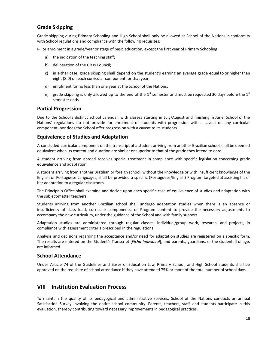#### <span id="page-17-0"></span>**Grade Skipping**

Grade skipping during Primary Schooling and High School shall only be allowed at School of the Nations in conformity with School regulations and compliance with the following requisites:

I- For enrolment in a grade/year or stage of basic education, except the first year of Primary Schooling:

- a) the indication of the teaching staff;
- b) deliberation of the Class Council;
- c) in either case, grade skipping shall depend on the student's earning an average grade equal to or higher than eight (8.0) on each curricular component for that year;
- d) enrolment for no less than one year at the School of the Nations;
- e) grade skipping is only allowed up to the end of the 1<sup>st</sup> semester and must be requested 30 days before the 1st semester ends.

#### <span id="page-17-1"></span>**Partial Progression**

Due to the School's distinct school calendar, with classes starting in July/August and finishing in June, School of the Nations' regulations do not provide for enrolment of students with progression with a caveat on any curricular component, nor does the School offer progression with a caveat to its students.

#### <span id="page-17-2"></span>**Equivalence of Studies and Adaptation**

A concluded curricular component on the transcript of a student arriving from another Brazilian school shall be deemed equivalent when its content and duration are similar or superior to that of the grade they intend to enroll.

A student arriving from abroad receives special treatment in compliance with specific legislation concerning grade equivalence and adaptation.

A student arriving from another Brazilian or foreign school, without the knowledge or with insufficient knowledge of the English or Portuguese Languages, shall be provided a specific (Portuguese/English) Program targeted at assisting his or her adaptation to a regular classroom.

The Principal's Office shall examine and decide upon each specific case of equivalence of studies and adaptation with the subject-matter teachers.

Students arriving from another Brazilian school shall undergo adaptation studies when there is an absence or insufficiency of class load, curricular components, or Program content to provide the necessary adjustments to accompany the new curriculum, under the guidance of the School and with family support.

Adaptation studies are administered through regular classes, individual/group work, research, and projects, in compliance with assessment criteria prescribed in the regulations.

Analysis and decisions regarding the acceptance and/or need for adaptation studies are registered on a specific form. The results are entered on the Student's Transcript [*Ficha Individual*], and parents, guardians, or the student, if of age, are informed.

#### <span id="page-17-3"></span>**School Attendance**

Under Article 74 of the Guidelines and Bases of Education Law, Primary School, and High School students shall be approved on the requisite of school attendance if they have attended 75% or more of the total number of school days.

#### <span id="page-17-4"></span>**VIII – Institution Evaluation Process**

To maintain the quality of its pedagogical and administrative services, School of the Nations conducts an annual Satisfaction Survey involving the entire school community. Parents, teachers, staff, and students participate in this evaluation, thereby contributing toward necessary improvements in pedagogical practices.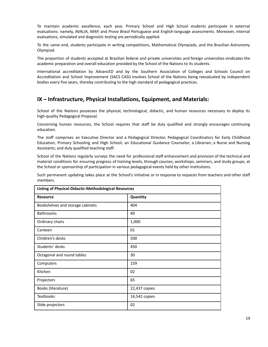To maintain academic excellence, each year, Primary School and High School students participate in external evaluations: namely, *AVALIA*, *MAP,* and *Prova Brasil* Portuguese and English-language assessments. Moreover, internal evaluations, simulated and diagnostic testing are periodically applied.

To the same end, students participate in writing competitions, Mathematical Olympiads, and the Brazilian Astronomy Olympiad.

The proportion of students accepted at Brazilian federal and private universities and foreign universities vindicates the academic preparation and overall education provided by the School of the Nations to its students.

International accreditation by AdvancED and by the Southern Association of Colleges and Schools Council on Accreditation and School Improvement (SACS CASI) involves School of the Nations being reevaluated by independent bodies every five years, thereby contributing to the high standard of pedagogical practices.

#### <span id="page-18-0"></span>**IX – Infrastructure, Physical Installations, Equipment, and Materials:**

School of the Nations possesses the physical, technological, didactic, and human resources necessary to deploy its high-quality Pedagogical Proposal.

Concerning human resources, the School requires that staff be duly qualified and strongly encourages continuing education.

The staff comprises an Executive Director and a Pedagogical Director, Pedagogical Coordinators for Early Childhood Education, Primary Schooling and High School; an Educational Guidance Counselor; a Librarian; a Nurse and Nursing Assistants; and duly qualified teaching staff.

School of the Nations regularly surveys the need for professional staff enhancement and provision of the technical and material conditions for ensuring progress of training levels, through courses, workshops, seminars, and study groups, at the School or sponsorship of participation in various pedagogical events held by other institutions.

Such permanent updating takes place at the School's initiative or in response to requests from teachers and other staff members.

| <b>Listing of Physical-Didactic-Methodological Resources</b> |               |  |  |
|--------------------------------------------------------------|---------------|--|--|
| <b>Resource</b>                                              | Quantity      |  |  |
| Bookshelves and storage cabinets                             | 404           |  |  |
| <b>Bathrooms</b>                                             | 40            |  |  |
| Ordinary chairs                                              | 1,000         |  |  |
| Canteen                                                      | 01            |  |  |
| Children's desks                                             | 500           |  |  |
| Students' desks                                              | 450           |  |  |
| Octagonal and round tables                                   | 30            |  |  |
| Computers                                                    | 159           |  |  |
| Kitchen                                                      | 02            |  |  |
| Projectors                                                   | 65            |  |  |
| Books (literature)                                           | 22,437 copies |  |  |
| <b>Textbooks</b>                                             | 14,542 copies |  |  |
| Slide projectors                                             | 02            |  |  |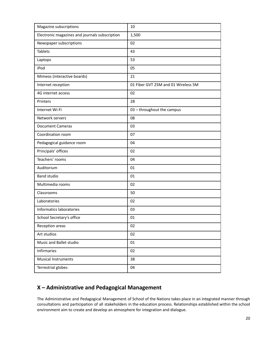| Magazine subscriptions                         | 10                                  |
|------------------------------------------------|-------------------------------------|
| Electronic magazines and journals subscription | 1,500                               |
| Newspaper subscriptions                        | 02                                  |
| <b>Tablets</b>                                 | 43                                  |
| Laptops                                        | 53                                  |
| iPod                                           | 05                                  |
| Mimeos (interactive boards)                    | 21                                  |
| Internet reception                             | 01 Fiber GVT 25M and 01 Wireless 5M |
| 4G internet access                             | 02                                  |
| Printers                                       | 28                                  |
| Internet Wi-Fi                                 | 03 - throughout the campus          |
| Network servers                                | 08                                  |
| <b>Document Cameras</b>                        | 03                                  |
| Coordination room                              | 07                                  |
| Pedagogical guidance room                      | 04                                  |
| Principals' offices                            | 02                                  |
| Teachers' rooms                                | 04                                  |
| Auditorium                                     | 01                                  |
| <b>Band studio</b>                             | 01                                  |
| Multimedia rooms                               | 02                                  |
| Classrooms                                     | 50                                  |
| Laboratories                                   | 02                                  |
| Informatics laboratories                       | 03                                  |
| School Secretary's office                      | 01                                  |
| Reception areas                                | 02                                  |
| Art studios                                    | 02                                  |
| Music and Ballet studio                        | 01                                  |
| Infirmaries                                    | 02                                  |
| <b>Musical Instruments</b>                     | 38                                  |
| <b>Terrestrial globes</b>                      | 04                                  |

# <span id="page-19-0"></span>**X – Administrative and Pedagogical Management**

The Administrative and Pedagogical Management of School of the Nations takes place in an integrated manner through consultations and participation of all stakeholders in the education process. Relationships established within the school environment aim to create and develop an atmosphere for integration and dialogue.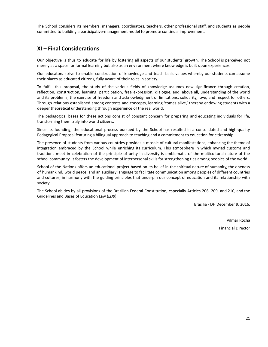The School considers its members, managers, coordinators, teachers, other professional staff, and students as people committed to building a participative-management model to promote continual improvement.

#### <span id="page-20-0"></span>**XI – Final Considerations**

Our objective is thus to educate for life by fostering all aspects of our students' growth. The School is perceived not merely as a space for formal learning but also as an environment where knowledge is built upon experiences.

Our educators strive to enable construction of knowledge and teach basic values whereby our students can assume their places as educated citizens, fully aware of their roles in society.

To fulfill this proposal, the study of the various fields of knowledge assumes new significance through creation, reflection, construction, learning, participation, free expression, dialogue, and, above all, understanding of the world and its problems, the exercise of freedom and acknowledgment of limitations, solidarity, love, and respect for others. Through relations established among contents and concepts, learning 'comes alive,' thereby endowing students with a deeper theoretical understanding through experience of the real world.

The pedagogical bases for these actions consist of constant concern for preparing and educating individuals for life, transforming them truly into world citizens.

Since its founding, the educational process pursued by the School has resulted in a consolidated and high-quality Pedagogical Proposal featuring a bilingual approach to teaching and a commitment to education for citizenship.

The presence of students from various countries provides a mosaic of cultural manifestations, enhancing the theme of integration embraced by the School while enriching its curriculum. This atmosphere in which myriad customs and traditions meet in celebration of the principle of unity in diversity is emblematic of the multicultural nature of the school community. It fosters the development of interpersonal skills for strengthening ties among peoples of the world.

School of the Nations offers an educational project based on its belief in the spiritual nature of humanity, the oneness of humankind, world peace, and an auxiliary language to facilitate communication among peoples of different countries and cultures, in harmony with the guiding principles that underpin our concept of education and its relationship with society.

The School abides by all provisions of the Brazilian Federal Constitution, especially Articles 206, 209, and 210, and the Guidelines and Bases of Education Law (*LDB*).

Brasília - DF, December 9, 2016.

Vilmar Rocha Financial Director